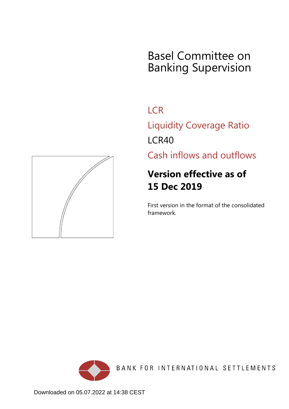# Basel Committee on Banking Supervision

**LCR** 

Liquidity Coverage Ratio LCR40

Cash inflows and outflows

# **Version effective as of 15 Dec 2019**

First version in the format of the consolidated framework.





BANK FOR INTERNATIONAL SETTLEMENTS

Downloaded on 05.07.2022 at 14:38 CEST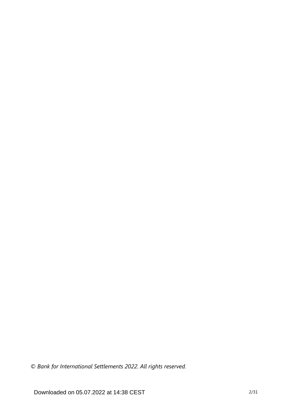*© Bank for International Settlements 2022. All rights reserved.*

Downloaded on 05.07.2022 at 14:38 CEST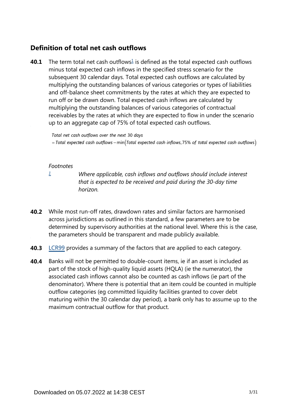### **Definition of total net cash outflows**

<span id="page-2-1"></span>The term total net cash outflows $\frac{1}{2}$  $\frac{1}{2}$  $\frac{1}{2}$  is defined as the total expected cash outflows minus total expected cash inflows in the specified stress scenario for the subsequent 30 calendar days. Total expected cash outflows are calculated by multiplying the outstanding balances of various categories or types of liabilities and off-balance sheet commitments by the rates at which they are expected to run off or be drawn down. Total expected cash inflows are calculated by multiplying the outstanding balances of various categories of contractual receivables by the rates at which they are expected to flow in under the scenario up to an aggregate cap of 75% of total expected cash outflows. **40.1**

Total net cash outflows over the next 30 days

 $=$  Total expected cash outflows – min(Total expected cash inflows, 75% of total expected cash outflows)

#### *Footnotes*

<span id="page-2-0"></span>*[1](#page-2-1)*

*Where applicable, cash inflows and outflows should include interest that is expected to be received and paid during the 30-day time horizon.*

- While most run-off rates, drawdown rates and similar factors are harmonised **40.2** across jurisdictions as outlined in this standard, a few parameters are to be determined by supervisory authorities at the national level. Where this is the case, the parameters should be transparent and made publicly available.
- **40.3** [LCR99](https://www.bis.org/basel_framework/chapter/LCR/99.htm?tldate=20281012&inforce=20191215&published=20191215) provides a summary of the factors that are applied to each category.
- Banks will not be permitted to double-count items, ie if an asset is included as part of the stock of high-quality liquid assets (HQLA) (ie the numerator), the associated cash inflows cannot also be counted as cash inflows (ie part of the denominator). Where there is potential that an item could be counted in multiple outflow categories (eg committed liquidity facilities granted to cover debt maturing within the 30 calendar day period), a bank only has to assume up to the maximum contractual outflow for that product. **40.4**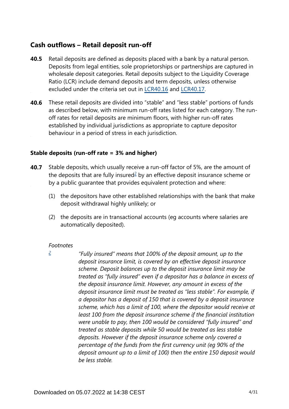### **Cash outflows – Retail deposit run-off**

- Retail deposits are defined as deposits placed with a bank by a natural person. Deposits from legal entities, sole proprietorships or partnerships are captured in wholesale deposit categories. Retail deposits subject to the Liquidity Coverage Ratio (LCR) include demand deposits and term deposits, unless otherwise excluded under the criteria set out in [LCR40.16](https://www.bis.org/basel_framework/chapter/LCR/40.htm?tldate=20281012&inforce=20191215&published=20191215#paragraph_LCR_40_20191215_40_16) and [LCR40.17.](https://www.bis.org/basel_framework/chapter/LCR/40.htm?tldate=20281012&inforce=20191215&published=20191215#paragraph_LCR_40_20191215_40_17) **40.5**
- These retail deposits are divided into "stable" and "less stable" portions of funds as described below, with minimum run-off rates listed for each category. The runoff rates for retail deposits are minimum floors, with higher run-off rates established by individual jurisdictions as appropriate to capture depositor behaviour in a period of stress in each jurisdiction. **40.6**

### **Stable deposits (run-off rate = 3% and higher)**

- <span id="page-3-1"></span>**40.7** Stable deposits, which usually receive a run-off factor of 5%, are the amount of the deposits that are fully insured $2$  by an effective deposit insurance scheme or by a public guarantee that provides equivalent protection and where:
	- (1) the depositors have other established relationships with the bank that make deposit withdrawal highly unlikely; or
	- (2) the deposits are in transactional accounts (eg accounts where salaries are automatically deposited).

### *Footnotes*

<span id="page-3-0"></span>*"Fully insured" means that 100% of the deposit amount, up to the deposit insurance limit, is covered by an effective deposit insurance scheme. Deposit balances up to the deposit insurance limit may be treated as "fully insured" even if a depositor has a balance in excess of the deposit insurance limit. However, any amount in excess of the deposit insurance limit must be treated as "less stable". For example, if a depositor has a deposit of 150 that is covered by a deposit insurance scheme, which has a limit of 100, where the depositor would receive at least 100 from the deposit insurance scheme if the financial institution were unable to pay, then 100 would be considered "fully insured" and treated as stable deposits while 50 would be treated as less stable deposits. However if the deposit insurance scheme only covered a percentage of the funds from the first currency unit (eg 90% of the deposit amount up to a limit of 100) then the entire 150 deposit would be less stable. [2](#page-3-1)*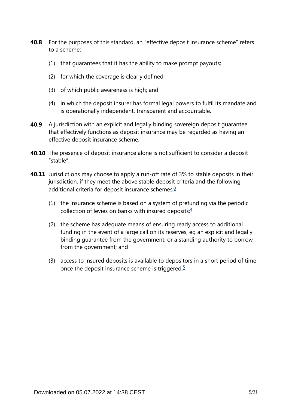- **40.8** For the purposes of this standard, an "effective deposit insurance scheme" refers to a scheme:
	- (1) that guarantees that it has the ability to make prompt payouts;
	- (2) for which the coverage is clearly defined;
	- (3) of which public awareness is high; and
	- (4) in which the deposit insurer has formal legal powers to fulfil its mandate and is operationally independent, transparent and accountable.
- **40.9** A jurisdiction with an explicit and legally binding sovereign deposit guarantee that effectively functions as deposit insurance may be regarded as having an effective deposit insurance scheme.
- **40.10** The presence of deposit insurance alone is not sufficient to consider a deposit "stable".
- <span id="page-4-2"></span><span id="page-4-1"></span><span id="page-4-0"></span>**40.11** Jurisdictions may choose to apply a run-off rate of 3% to stable deposits in their jurisdiction, if they meet the above stable deposit criteria and the following additional criteria for deposit insurance schemes:<sup>[3](#page-5-0)</sup>
	- (1) the insurance scheme is based on a system of prefunding via the periodic collection of levies on banks with insured deposits; $4$
	- (2) the scheme has adequate means of ensuring ready access to additional funding in the event of a large call on its reserves, eg an explicit and legally binding guarantee from the government, or a standing authority to borrow from the government; and
	- (3) access to insured deposits is available to depositors in a short period of time once the deposit insurance scheme is triggered. $5$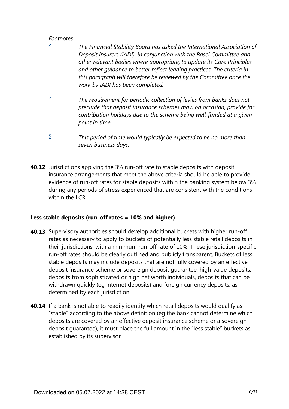- <span id="page-5-0"></span>*The Financial Stability Board has asked the International Association of Deposit Insurers (IADI), in conjunction with the Basel Committee and other relevant bodies where appropriate, to update its Core Principles and other guidance to better reflect leading practices. The criteria in this paragraph will therefore be reviewed by the Committee once the work by IADI has been completed. [3](#page-4-0)*
- <span id="page-5-1"></span>*The requirement for periodic collection of levies from banks does not preclude that deposit insurance schemes may, on occasion, provide for contribution holidays due to the scheme being well-funded at a given point in time. [4](#page-4-1)*
- *This period of time would typically be expected to be no more than seven business days. [5](#page-4-2)*
- <span id="page-5-2"></span>**40.12** Jurisdictions applying the 3% run-off rate to stable deposits with deposit insurance arrangements that meet the above criteria should be able to provide evidence of run-off rates for stable deposits within the banking system below 3% during any periods of stress experienced that are consistent with the conditions within the LCR.

### **Less stable deposits (run-off rates = 10% and higher)**

- **40.13** Supervisory authorities should develop additional buckets with higher run-off rates as necessary to apply to buckets of potentially less stable retail deposits in their jurisdictions, with a minimum run-off rate of 10%. These jurisdiction-specific run-off rates should be clearly outlined and publicly transparent. Buckets of less stable deposits may include deposits that are not fully covered by an effective deposit insurance scheme or sovereign deposit guarantee, high-value deposits, deposits from sophisticated or high net worth individuals, deposits that can be withdrawn quickly (eg internet deposits) and foreign currency deposits, as determined by each jurisdiction.
- **40.14** If a bank is not able to readily identify which retail deposits would qualify as "stable" according to the above definition (eg the bank cannot determine which deposits are covered by an effective deposit insurance scheme or a sovereign deposit guarantee), it must place the full amount in the "less stable" buckets as established by its supervisor.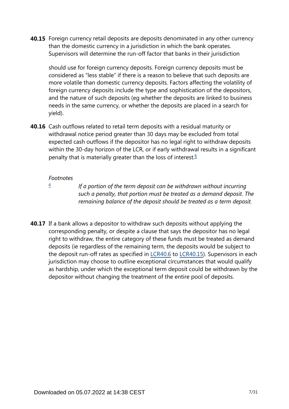**40.15** Foreign currency retail deposits are deposits denominated in any other currency than the domestic currency in a jurisdiction in which the bank operates. Supervisors will determine the run-off factor that banks in their jurisdiction

should use for foreign currency deposits. Foreign currency deposits must be considered as "less stable" if there is a reason to believe that such deposits are more volatile than domestic currency deposits. Factors affecting the volatility of foreign currency deposits include the type and sophistication of the depositors, and the nature of such deposits (eg whether the deposits are linked to business needs in the same currency, or whether the deposits are placed in a search for yield).

<span id="page-6-1"></span>**40.16** Cash outflows related to retail term deposits with a residual maturity or withdrawal notice period greater than 30 days may be excluded from total expected cash outflows if the depositor has no legal right to withdraw deposits within the 30-day horizon of the LCR, or if early withdrawal results in a significant penalty that is materially greater than the loss of interest.<sup>[6](#page-6-0)</sup>

### *Footnotes*

<span id="page-6-0"></span>*[6](#page-6-1)*

*If a portion of the term deposit can be withdrawn without incurring such a penalty, that portion must be treated as a demand deposit. The remaining balance of the deposit should be treated as a term deposit.*

**40.17** If a bank allows a depositor to withdraw such deposits without applying the corresponding penalty, or despite a clause that says the depositor has no legal right to withdraw, the entire category of these funds must be treated as demand deposits (ie regardless of the remaining term, the deposits would be subject to the deposit run-off rates as specified in [LCR40.6](https://www.bis.org/basel_framework/chapter/LCR/40.htm?tldate=20281012&inforce=20191215&published=20191215#paragraph_LCR_40_20191215_40_6) to [LCR40.15\)](https://www.bis.org/basel_framework/chapter/LCR/40.htm?tldate=20281012&inforce=20191215&published=20191215#paragraph_LCR_40_20191215_40_15). Supervisors in each jurisdiction may choose to outline exceptional circumstances that would qualify as hardship, under which the exceptional term deposit could be withdrawn by the depositor without changing the treatment of the entire pool of deposits.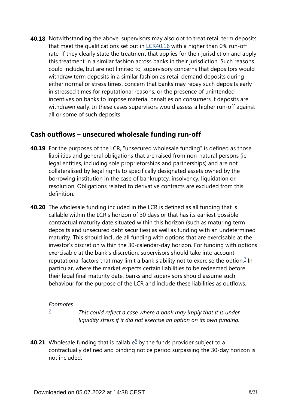**40.18** Notwithstanding the above, supervisors may also opt to treat retail term deposits that meet the qualifications set out in [LCR40.16](https://www.bis.org/basel_framework/chapter/LCR/40.htm?tldate=20281012&inforce=20191215&published=20191215#paragraph_LCR_40_20191215_40_16) with a higher than 0% run-off rate, if they clearly state the treatment that applies for their jurisdiction and apply this treatment in a similar fashion across banks in their jurisdiction. Such reasons could include, but are not limited to, supervisory concerns that depositors would withdraw term deposits in a similar fashion as retail demand deposits during either normal or stress times, concern that banks may repay such deposits early in stressed times for reputational reasons, or the presence of unintended incentives on banks to impose material penalties on consumers if deposits are withdrawn early. In these cases supervisors would assess a higher run-off against all or some of such deposits.

### **Cash outflows – unsecured wholesale funding run-off**

- **40.19** For the purposes of the LCR, "unsecured wholesale funding" is defined as those liabilities and general obligations that are raised from non-natural persons (ie legal entities, including sole proprietorships and partnerships) and are not collateralised by legal rights to specifically designated assets owned by the borrowing institution in the case of bankruptcy, insolvency, liquidation or resolution. Obligations related to derivative contracts are excluded from this definition.
- <span id="page-7-1"></span>**40.20** The wholesale funding included in the LCR is defined as all funding that is callable within the LCR's horizon of 30 days or that has its earliest possible contractual maturity date situated within this horizon (such as maturing term deposits and unsecured debt securities) as well as funding with an undetermined maturity. This should include all funding with options that are exercisable at the investor's discretion within the 30-calendar-day horizon. For funding with options exercisable at the bank's discretion, supervisors should take into account reputational factors that may limit a bank's ability not to exercise the option.<sup>[7](#page-7-0)</sup> In particular, where the market expects certain liabilities to be redeemed before their legal final maturity date, banks and supervisors should assume such behaviour for the purpose of the LCR and include these liabilities as outflows.

### *Footnotes*

*[7](#page-7-1)*

*This could reflect a case where a bank may imply that it is under liquidity stress if it did not exercise an option on its own funding.*

<span id="page-7-2"></span><span id="page-7-0"></span>**40.21** Wholesale funding that is callable ${}^8$  ${}^8$  by the funds provider subject to a contractually defined and binding notice period surpassing the 30-day horizon is not included.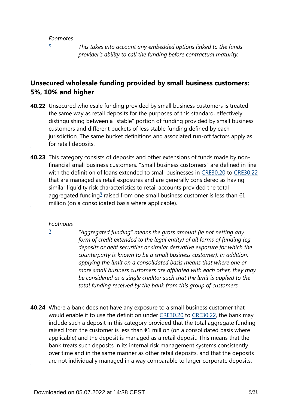*[8](#page-7-2)*

*This takes into account any embedded options linked to the funds provider's ability to call the funding before contractual maturity.*

### <span id="page-8-0"></span>**Unsecured wholesale funding provided by small business customers: 5%, 10% and higher**

- **40.22** Unsecured wholesale funding provided by small business customers is treated the same way as retail deposits for the purposes of this standard, effectively distinguishing between a "stable" portion of funding provided by small business customers and different buckets of less stable funding defined by each jurisdiction. The same bucket definitions and associated run-off factors apply as for retail deposits.
- <span id="page-8-2"></span>**40.23** This category consists of deposits and other extensions of funds made by nonfinancial small business customers. "Small business customers" are defined in line with the definition of loans extended to small businesses in [CRE30.20](https://www.bis.org/basel_framework/chapter/CRE/30.htm?tldate=20281012&inforce=20230101&published=20200327#paragraph_CRE_30_20230101_30_20) to [CRE30.22](https://www.bis.org/basel_framework/chapter/CRE/30.htm?tldate=20281012&inforce=20230101&published=20200327#paragraph_CRE_30_20230101_30_22) that are managed as retail exposures and are generally considered as having similar liquidity risk characteristics to retail accounts provided the total aggregated funding<sup>[9](#page-8-1)</sup> raised from one small business customer is less than  $\epsilon$ 1 million (on a consolidated basis where applicable).

#### *Footnotes*

<span id="page-8-1"></span>*[9](#page-8-2)*

*"Aggregated funding" means the gross amount (ie not netting any form of credit extended to the legal entity) of all forms of funding (eg deposits or debt securities or similar derivative exposure for which the counterparty is known to be a small business customer). In addition, applying the limit on a consolidated basis means that where one or more small business customers are affiliated with each other, they may be considered as a single creditor such that the limit is applied to the total funding received by the bank from this group of customers.*

Where a bank does not have any exposure to a small business customer that **40.24** would enable it to use the definition under [CRE30.20](https://www.bis.org/basel_framework/chapter/CRE/30.htm?tldate=20281012&inforce=20230101&published=20200327#paragraph_CRE_30_20230101_30_20) to [CRE30.22,](https://www.bis.org/basel_framework/chapter/CRE/30.htm?tldate=20281012&inforce=20230101&published=20200327#paragraph_CRE_30_20230101_30_22) the bank may include such a deposit in this category provided that the total aggregate funding raised from the customer is less than  $E1$  million (on a consolidated basis where applicable) and the deposit is managed as a retail deposit. This means that the bank treats such deposits in its internal risk management systems consistently over time and in the same manner as other retail deposits, and that the deposits are not individually managed in a way comparable to larger corporate deposits.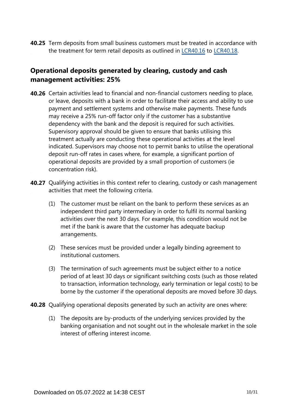**40.25** Term deposits from small business customers must be treated in accordance with the treatment for term retail deposits as outlined in [LCR40.16](https://www.bis.org/basel_framework/chapter/LCR/40.htm?tldate=20281012&inforce=20191215&published=20191215#paragraph_LCR_40_20191215_40_16) to [LCR40.18](https://www.bis.org/basel_framework/chapter/LCR/40.htm?tldate=20281012&inforce=20191215&published=20191215#paragraph_LCR_40_20191215_40_18).

## **Operational deposits generated by clearing, custody and cash management activities: 25%**

- **40.26** Certain activities lead to financial and non-financial customers needing to place, or leave, deposits with a bank in order to facilitate their access and ability to use payment and settlement systems and otherwise make payments. These funds may receive a 25% run-off factor only if the customer has a substantive dependency with the bank and the deposit is required for such activities. Supervisory approval should be given to ensure that banks utilising this treatment actually are conducting these operational activities at the level indicated. Supervisors may choose not to permit banks to utilise the operational deposit run-off rates in cases where, for example, a significant portion of operational deposits are provided by a small proportion of customers (ie concentration risk).
- **40.27** Qualifying activities in this context refer to clearing, custody or cash management activities that meet the following criteria.
	- (1) The customer must be reliant on the bank to perform these services as an independent third party intermediary in order to fulfil its normal banking activities over the next 30 days. For example, this condition would not be met if the bank is aware that the customer has adequate backup arrangements.
	- (2) These services must be provided under a legally binding agreement to institutional customers.
	- (3) The termination of such agreements must be subject either to a notice period of at least 30 days or significant switching costs (such as those related to transaction, information technology, early termination or legal costs) to be borne by the customer if the operational deposits are moved before 30 days.
- **40.28** Qualifying operational deposits generated by such an activity are ones where:
	- (1) The deposits are by-products of the underlying services provided by the banking organisation and not sought out in the wholesale market in the sole interest of offering interest income.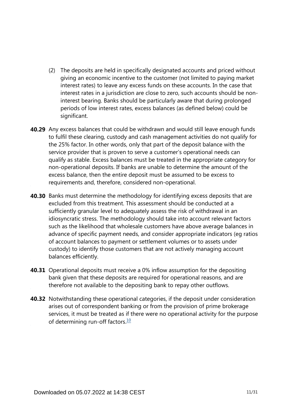- (2) The deposits are held in specifically designated accounts and priced without giving an economic incentive to the customer (not limited to paying market interest rates) to leave any excess funds on these accounts. In the case that interest rates in a jurisdiction are close to zero, such accounts should be noninterest bearing. Banks should be particularly aware that during prolonged periods of low interest rates, excess balances (as defined below) could be significant.
- **40.29** Any excess balances that could be withdrawn and would still leave enough funds to fulfil these clearing, custody and cash management activities do not qualify for the 25% factor. In other words, only that part of the deposit balance with the service provider that is proven to serve a customer's operational needs can qualify as stable. Excess balances must be treated in the appropriate category for non-operational deposits. If banks are unable to determine the amount of the excess balance, then the entire deposit must be assumed to be excess to requirements and, therefore, considered non-operational.
- **40.30** Banks must determine the methodology for identifying excess deposits that are excluded from this treatment. This assessment should be conducted at a sufficiently granular level to adequately assess the risk of withdrawal in an idiosyncratic stress. The methodology should take into account relevant factors such as the likelihood that wholesale customers have above average balances in advance of specific payment needs, and consider appropriate indicators (eg ratios of account balances to payment or settlement volumes or to assets under custody) to identify those customers that are not actively managing account balances efficiently.
- **40.31** Operational deposits must receive a 0% inflow assumption for the depositing bank given that these deposits are required for operational reasons, and are therefore not available to the depositing bank to repay other outflows.
- <span id="page-10-0"></span>**40.32** Notwithstanding these operational categories, if the deposit under consideration arises out of correspondent banking or from the provision of prime brokerage services, it must be treated as if there were no operational activity for the purpose of determining run-off factors. $\frac{10}{10}$  $\frac{10}{10}$  $\frac{10}{10}$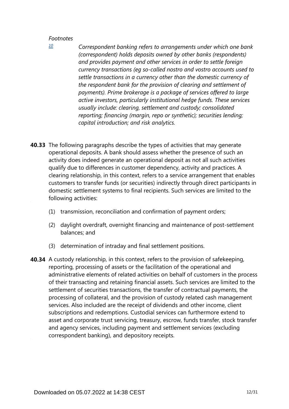*Correspondent banking refers to arrangements under which one bank (correspondent) holds deposits owned by other banks (respondents) and provides payment and other services in order to settle foreign currency transactions (eg so-called nostro and vostro accounts used to settle transactions in a currency other than the domestic currency of the respondent bank for the provision of clearing and settlement of payments). Prime brokerage is a package of services offered to large active investors, particularly institutional hedge funds. These services usually include: clearing, settlement and custody; consolidated reporting; financing (margin, repo or synthetic); securities lending; capital introduction; and risk analytics.* 

- **40.33** The following paragraphs describe the types of activities that may generate operational deposits. A bank should assess whether the presence of such an activity does indeed generate an operational deposit as not all such activities qualify due to differences in customer dependency, activity and practices. A clearing relationship, in this context, refers to a service arrangement that enables customers to transfer funds (or securities) indirectly through direct participants in domestic settlement systems to final recipients. Such services are limited to the following activities:
	- (1) transmission, reconciliation and confirmation of payment orders;
	- (2) daylight overdraft, overnight financing and maintenance of post-settlement balances; and
	- (3) determination of intraday and final settlement positions.
- **40.34** A custody relationship, in this context, refers to the provision of safekeeping, reporting, processing of assets or the facilitation of the operational and administrative elements of related activities on behalf of customers in the process of their transacting and retaining financial assets. Such services are limited to the settlement of securities transactions, the transfer of contractual payments, the processing of collateral, and the provision of custody related cash management services. Also included are the receipt of dividends and other income, client subscriptions and redemptions. Custodial services can furthermore extend to asset and corporate trust servicing, treasury, escrow, funds transfer, stock transfer and agency services, including payment and settlement services (excluding correspondent banking), and depository receipts.

<span id="page-11-0"></span>*[<sup>10</sup>](#page-10-0)*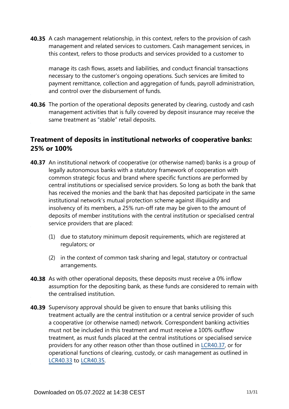**40.35** A cash management relationship, in this context, refers to the provision of cash management and related services to customers. Cash management services, in this context, refers to those products and services provided to a customer to

manage its cash flows, assets and liabilities, and conduct financial transactions necessary to the customer's ongoing operations. Such services are limited to payment remittance, collection and aggregation of funds, payroll administration, and control over the disbursement of funds.

**40.36** The portion of the operational deposits generated by clearing, custody and cash management activities that is fully covered by deposit insurance may receive the same treatment as "stable" retail deposits.

## **Treatment of deposits in institutional networks of cooperative banks: 25% or 100%**

- **40.37** An institutional network of cooperative (or otherwise named) banks is a group of legally autonomous banks with a statutory framework of cooperation with common strategic focus and brand where specific functions are performed by central institutions or specialised service providers. So long as both the bank that has received the monies and the bank that has deposited participate in the same institutional network's mutual protection scheme against illiquidity and insolvency of its members, a 25% run-off rate may be given to the amount of deposits of member institutions with the central institution or specialised central service providers that are placed:
	- (1) due to statutory minimum deposit requirements, which are registered at regulators; or
	- (2) in the context of common task sharing and legal, statutory or contractual arrangements.
- **40.38** As with other operational deposits, these deposits must receive a 0% inflow assumption for the depositing bank, as these funds are considered to remain with the centralised institution.
- **40.39** Supervisory approval should be given to ensure that banks utilising this treatment actually are the central institution or a central service provider of such a cooperative (or otherwise named) network. Correspondent banking activities must not be included in this treatment and must receive a 100% outflow treatment, as must funds placed at the central institutions or specialised service providers for any other reason other than those outlined in [LCR40.37](https://www.bis.org/basel_framework/chapter/LCR/40.htm?tldate=20281012&inforce=20191215&published=20191215#paragraph_LCR_40_20191215_40_37), or for operational functions of clearing, custody, or cash management as outlined in [LCR40.33](https://www.bis.org/basel_framework/chapter/LCR/40.htm?tldate=20281012&inforce=20191215&published=20191215#paragraph_LCR_40_20191215_40_33) to [LCR40.35](https://www.bis.org/basel_framework/chapter/LCR/40.htm?tldate=20281012&inforce=20191215&published=20191215#paragraph_LCR_40_20191215_40_35).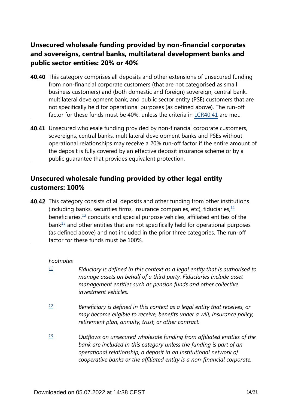# **Unsecured wholesale funding provided by non-financial corporates and sovereigns, central banks, multilateral development banks and public sector entities: 20% or 40%**

- **40.40** This category comprises all deposits and other extensions of unsecured funding from non-financial corporate customers (that are not categorised as small business customers) and (both domestic and foreign) sovereign, central bank, multilateral development bank, and public sector entity (PSE) customers that are not specifically held for operational purposes (as defined above). The run-off factor for these funds must be 40%, unless the criteria in [LCR40.41](https://www.bis.org/basel_framework/chapter/LCR/40.htm?tldate=20281012&inforce=20191215&published=20191215#paragraph_LCR_40_20191215_40_41) are met.
- **40.41** Unsecured wholesale funding provided by non-financial corporate customers, sovereigns, central banks, multilateral development banks and PSEs without operational relationships may receive a 20% run-off factor if the entire amount of the deposit is fully covered by an effective deposit insurance scheme or by a public guarantee that provides equivalent protection.

## **Unsecured wholesale funding provided by other legal entity customers: 100%**

<span id="page-13-5"></span><span id="page-13-4"></span><span id="page-13-3"></span>**40.42** This category consists of all deposits and other funding from other institutions (including banks, securities firms, insurance companies, etc), fiduciaries,  $\frac{11}{12}$  $\frac{11}{12}$  $\frac{11}{12}$ beneficiaries, $\frac{12}{12}$  $\frac{12}{12}$  $\frac{12}{12}$  conduits and special purpose vehicles, affiliated entities of the  $bank<sup>13</sup>$  $bank<sup>13</sup>$  $bank<sup>13</sup>$  and other entities that are not specifically held for operational purposes (as defined above) and not included in the prior three categories. The run-off factor for these funds must be 100%.

### *Footnotes*

- <span id="page-13-0"></span>*Fiduciary is defined in this context as a legal entity that is authorised to manage assets on behalf of a third party. Fiduciaries include asset management entities such as pension funds and other collective investment vehicles. [11](#page-13-3)*
- <span id="page-13-1"></span>*Beneficiary is defined in this context as a legal entity that receives, or may become eligible to receive, benefits under a will, insurance policy, retirement plan, annuity, trust, or other contract. [12](#page-13-4)*
- <span id="page-13-2"></span>*Outflows on unsecured wholesale funding from affiliated entities of the bank are included in this category unless the funding is part of an operational relationship, a deposit in an institutional network of cooperative banks or the affiliated entity is a non-financial corporate. [13](#page-13-5)*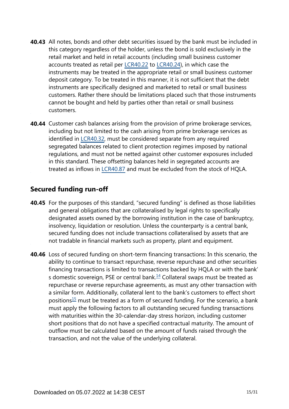- **40.43** All notes, bonds and other debt securities issued by the bank must be included in this category regardless of the holder, unless the bond is sold exclusively in the retail market and held in retail accounts (including small business customer accounts treated as retail per [LCR40.22](https://www.bis.org/basel_framework/chapter/LCR/40.htm?tldate=20281012&inforce=20191215&published=20191215#paragraph_LCR_40_20191215_40_22) to [LCR40.24\)](https://www.bis.org/basel_framework/chapter/LCR/40.htm?tldate=20281012&inforce=20191215&published=20191215#paragraph_LCR_40_20191215_40_24), in which case the instruments may be treated in the appropriate retail or small business customer deposit category. To be treated in this manner, it is not sufficient that the debt instruments are specifically designed and marketed to retail or small business customers. Rather there should be limitations placed such that those instruments cannot be bought and held by parties other than retail or small business customers.
- **40.44** Customer cash balances arising from the provision of prime brokerage services, including but not limited to the cash arising from prime brokerage services as identified in [LCR40.32](https://www.bis.org/basel_framework/chapter/LCR/40.htm?tldate=20281012&inforce=20191215&published=20191215#paragraph_LCR_40_20191215_40_32), must be considered separate from any required segregated balances related to client protection regimes imposed by national regulations, and must not be netted against other customer exposures included in this standard. These offsetting balances held in segregated accounts are treated as inflows in [LCR40.87](https://www.bis.org/basel_framework/chapter/LCR/40.htm?tldate=20281012&inforce=20191215&published=20191215#paragraph_LCR_40_20191215_40_87) and must be excluded from the stock of HQLA.

### **Secured funding run-off**

- **40.45** For the purposes of this standard, "secured funding" is defined as those liabilities and general obligations that are collateralised by legal rights to specifically designated assets owned by the borrowing institution in the case of bankruptcy, insolvency, liquidation or resolution. Unless the counterparty is a central bank, secured funding does not include transactions collateralised by assets that are not tradable in financial markets such as property, plant and equipment.
- <span id="page-14-1"></span><span id="page-14-0"></span>**40.46** Loss of secured funding on short-term financing transactions: In this scenario, the ability to continue to transact repurchase, reverse repurchase and other securities financing transactions is limited to transactions backed by HQLA or with the bank' s domestic sovereign, PSE or central bank. $14$  Collateral swaps must be treated as repurchase or reverse repurchase agreements, as must any other transaction with a similar form. Additionally, collateral lent to the bank's customers to effect short positions<sup>[15](#page-15-1)</sup> must be treated as a form of secured funding. For the scenario, a bank must apply the following factors to all outstanding secured funding transactions with maturities within the 30-calendar-day stress horizon, including customer short positions that do not have a specified contractual maturity. The amount of outflow must be calculated based on the amount of funds raised through the transaction, and not the value of the underlying collateral.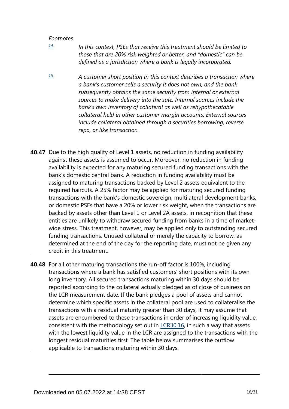- <span id="page-15-0"></span>*In this context, PSEs that receive this treatment should be limited to those that are 20% risk weighted or better, and "domestic" can be defined as a jurisdiction where a bank is legally incorporated. [14](#page-14-0)*
- <span id="page-15-1"></span>*A customer short position in this context describes a transaction where a bank's customer sells a security it does not own, and the bank subsequently obtains the same security from internal or external sources to make delivery into the sale. Internal sources include the bank's own inventory of collateral as well as rehypothecatable collateral held in other customer margin accounts. External sources include collateral obtained through a securities borrowing, reverse repo, or like transaction. [15](#page-14-1)*
- **40.47** Due to the high quality of Level 1 assets, no reduction in funding availability against these assets is assumed to occur. Moreover, no reduction in funding availability is expected for any maturing secured funding transactions with the bank's domestic central bank. A reduction in funding availability must be assigned to maturing transactions backed by Level 2 assets equivalent to the required haircuts. A 25% factor may be applied for maturing secured funding transactions with the bank's domestic sovereign, multilateral development banks, or domestic PSEs that have a 20% or lower risk weight, when the transactions are backed by assets other than Level 1 or Level 2A assets, in recognition that these entities are unlikely to withdraw secured funding from banks in a time of marketwide stress. This treatment, however, may be applied only to outstanding secured funding transactions. Unused collateral or merely the capacity to borrow, as determined at the end of the day for the reporting date, must not be given any credit in this treatment.
- **40.48** For all other maturing transactions the run-off factor is 100%, including transactions where a bank has satisfied customers' short positions with its own long inventory. All secured transactions maturing within 30 days should be reported according to the collateral actually pledged as of close of business on the LCR measurement date. If the bank pledges a pool of assets and cannot determine which specific assets in the collateral pool are used to collateralise the transactions with a residual maturity greater than 30 days, it may assume that assets are encumbered to these transactions in order of increasing liquidity value, consistent with the methodology set out in [LCR30.16](https://www.bis.org/basel_framework/chapter/LCR/30.htm?tldate=20281012&inforce=20191215&published=20200605#paragraph_LCR_30_20191215_30_16), in such a way that assets with the lowest liquidity value in the LCR are assigned to the transactions with the longest residual maturities first. The table below summarises the outflow applicable to transactions maturing within 30 days.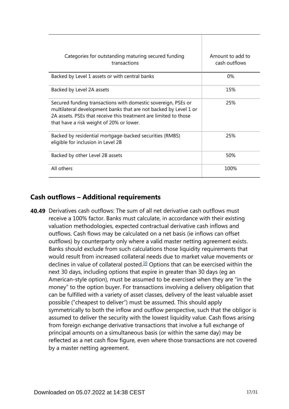| Categories for outstanding maturing secured funding<br>transactions                                                                                                                                                                               | Amount to add to<br>cash outflows |
|---------------------------------------------------------------------------------------------------------------------------------------------------------------------------------------------------------------------------------------------------|-----------------------------------|
| Backed by Level 1 assets or with central banks                                                                                                                                                                                                    | 0%                                |
| Backed by Level 2A assets                                                                                                                                                                                                                         | 15%                               |
| Secured funding transactions with domestic sovereign, PSEs or<br>multilateral development banks that are not backed by Level 1 or<br>2A assets. PSEs that receive this treatment are limited to those<br>that have a risk weight of 20% or lower. | 25%                               |
| Backed by residential mortgage-backed securities (RMBS)<br>eligible for inclusion in Level 2B                                                                                                                                                     | 25%                               |
| Backed by other Level 2B assets                                                                                                                                                                                                                   | 50%                               |
| All others                                                                                                                                                                                                                                        | 100%                              |

## **Cash outflows – Additional requirements**

<span id="page-16-0"></span>**40.49** Derivatives cash outflows: The sum of all net derivative cash outflows must receive a 100% factor. Banks must calculate, in accordance with their existing valuation methodologies, expected contractual derivative cash inflows and outflows. Cash flows may be calculated on a net basis (ie inflows can offset outflows) by counterparty only where a valid master netting agreement exists. Banks should exclude from such calculations those liquidity requirements that would result from increased collateral needs due to market value movements or declines in value of collateral posted. $16$  Options that can be exercised within the next 30 days, including options that expire in greater than 30 days (eg an American-style option), must be assumed to be exercised when they are "in the money" to the option buyer. For transactions involving a delivery obligation that can be fulfilled with a variety of asset classes, delivery of the least valuable asset possible ("cheapest to deliver") must be assumed. This should apply symmetrically to both the inflow and outflow perspective, such that the obligor is assumed to deliver the security with the lowest liquidity value. Cash flows arising from foreign exchange derivative transactions that involve a full exchange of principal amounts on a simultaneous basis (or within the same day) may be reflected as a net cash flow figure, even where those transactions are not covered by a master netting agreement.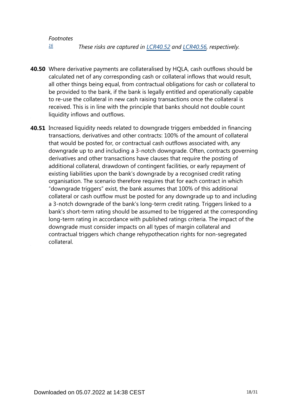*These risks are captured in [LCR40.52](https://www.bis.org/basel_framework/chapter/LCR/40.htm?tldate=20281012&inforce=20191215&published=20191215#paragraph_LCR_40_20191215_40_52) and [LCR40.56,](https://www.bis.org/basel_framework/chapter/LCR/40.htm?tldate=20281012&inforce=20191215&published=20191215#paragraph_LCR_40_20191215_40_56) respectively. [16](#page-16-0)*

- <span id="page-17-0"></span>Where derivative payments are collateralised by HQLA, cash outflows should be **40.50** calculated net of any corresponding cash or collateral inflows that would result, all other things being equal, from contractual obligations for cash or collateral to be provided to the bank, if the bank is legally entitled and operationally capable to re-use the collateral in new cash raising transactions once the collateral is received. This is in line with the principle that banks should not double count liquidity inflows and outflows.
- **40.51** Increased liquidity needs related to downgrade triggers embedded in financing transactions, derivatives and other contracts: 100% of the amount of collateral that would be posted for, or contractual cash outflows associated with, any downgrade up to and including a 3-notch downgrade. Often, contracts governing derivatives and other transactions have clauses that require the posting of additional collateral, drawdown of contingent facilities, or early repayment of existing liabilities upon the bank's downgrade by a recognised credit rating organisation. The scenario therefore requires that for each contract in which "downgrade triggers" exist, the bank assumes that 100% of this additional collateral or cash outflow must be posted for any downgrade up to and including a 3-notch downgrade of the bank's long-term credit rating. Triggers linked to a bank's short-term rating should be assumed to be triggered at the corresponding long-term rating in accordance with published ratings criteria. The impact of the downgrade must consider impacts on all types of margin collateral and contractual triggers which change rehypothecation rights for non-segregated collateral.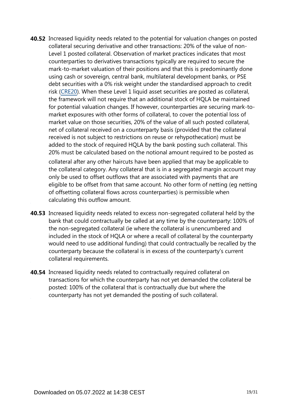- **40.52** Increased liquidity needs related to the potential for valuation changes on posted collateral securing derivative and other transactions: 20% of the value of non-Level 1 posted collateral. Observation of market practices indicates that most counterparties to derivatives transactions typically are required to secure the mark-to-market valuation of their positions and that this is predominantly done using cash or sovereign, central bank, multilateral development banks, or PSE debt securities with a 0% risk weight under the standardised approach to credit risk [\(CRE20\)](https://www.bis.org/basel_framework/chapter/CRE/20.htm?tldate=20281012&inforce=20230101&published=20201126). When these Level 1 liquid asset securities are posted as collateral, the framework will not require that an additional stock of HQLA be maintained for potential valuation changes. If however, counterparties are securing mark-tomarket exposures with other forms of collateral, to cover the potential loss of market value on those securities, 20% of the value of all such posted collateral, net of collateral received on a counterparty basis (provided that the collateral received is not subject to restrictions on reuse or rehypothecation) must be added to the stock of required HQLA by the bank posting such collateral. This 20% must be calculated based on the notional amount required to be posted as collateral after any other haircuts have been applied that may be applicable to the collateral category. Any collateral that is in a segregated margin account may only be used to offset outflows that are associated with payments that are eligible to be offset from that same account. No other form of netting (eg netting of offsetting collateral flows across counterparties) is permissible when calculating this outflow amount.
- **40.53** Increased liquidity needs related to excess non-segregated collateral held by the bank that could contractually be called at any time by the counterparty: 100% of the non-segregated collateral (ie where the collateral is unencumbered and included in the stock of HQLA or where a recall of collateral by the counterparty would need to use additional funding) that could contractually be recalled by the counterparty because the collateral is in excess of the counterparty's current collateral requirements.
- **40.54** Increased liquidity needs related to contractually required collateral on transactions for which the counterparty has not yet demanded the collateral be posted: 100% of the collateral that is contractually due but where the counterparty has not yet demanded the posting of such collateral.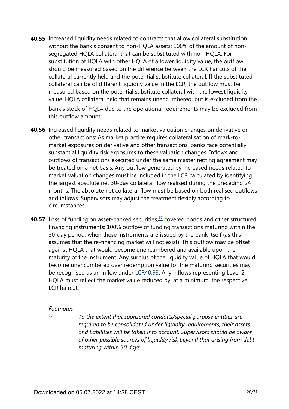- **40.55** Increased liquidity needs related to contracts that allow collateral substitution without the bank's consent to non-HQLA assets: 100% of the amount of nonsegregated HQLA collateral that can be substituted with non-HQLA. For substitution of HQLA with other HQLA of a lower liquidity value, the outflow should be measured based on the difference between the LCR haircuts of the collateral currently held and the potential substitute collateral. If the substituted collateral can be of different liquidity value in the LCR, the outflow must be measured based on the potential substitute collateral with the lowest liquidity value. HQLA collateral held that remains unencumbered, but is excluded from the bank's stock of HQLA due to the operational requirements may be excluded from this outflow amount.
- **40.56** Increased liquidity needs related to market valuation changes on derivative or other transactions: As market practice requires collateralisation of mark-tomarket exposures on derivative and other transactions, banks face potentially substantial liquidity risk exposures to these valuation changes. Inflows and outflows of transactions executed under the same master netting agreement may be treated on a net basis. Any outflow generated by increased needs related to market valuation changes must be included in the LCR calculated by identifying the largest absolute net 30-day collateral flow realised during the preceding 24 months. The absolute net collateral flow must be based on both realised outflows and inflows. Supervisors may adjust the treatment flexibly according to circumstances.
- <span id="page-19-1"></span>**40.57** Loss of funding on asset-backed securities,<sup>[17](#page-19-0)</sup> covered bonds and other structured financing instruments: 100% outflow of funding transactions maturing within the 30-day period, when these instruments are issued by the bank itself (as this assumes that the re-financing market will not exist). This outflow may be offset against HQLA that would become unencumbered and available upon the maturity of the instrument. Any surplus of the liquidity value of HQLA that would become unencumbered over redemption value for the maturing securities may be recognised as an inflow under [LCR40.93](https://www.bis.org/basel_framework/chapter/LCR/40.htm?tldate=20281012&inforce=20191215&published=20191215#paragraph_LCR_40_20191215_40_93). Any inflows representing Level 2 HQLA must reflect the market value reduced by, at a minimum, the respective LCR haircut.

<span id="page-19-0"></span>*[17](#page-19-1)*

*To the extent that sponsored conduits/special purpose entities are required to be consolidated under liquidity requirements, their assets and liabilities will be taken into account. Supervisors should be aware of other possible sources of liquidity risk beyond that arising from debt maturing within 30 days.*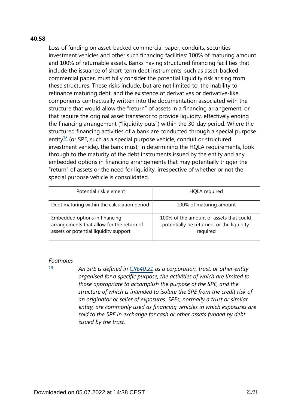#### **40.58**

Loss of funding on asset-backed commercial paper, conduits, securities investment vehicles and other such financing facilities: 100% of maturing amount and 100% of returnable assets. Banks having structured financing facilities that include the issuance of short-term debt instruments, such as asset-backed commercial paper, must fully consider the potential liquidity risk arising from these structures. These risks include, but are not limited to, the inability to refinance maturing debt, and the existence of derivatives or derivative-like components contractually written into the documentation associated with the structure that would allow the "return" of assets in a financing arrangement, or that require the original asset transferor to provide liquidity, effectively ending the financing arrangement ("liquidity puts") within the 30-day period. Where the structured financing activities of a bank are conducted through a special purpose entity $18$  (or SPE, such as a special purpose vehicle, conduit or structured investment vehicle), the bank must, in determining the HQLA requirements, look through to the maturity of the debt instruments issued by the entity and any embedded options in financing arrangements that may potentially trigger the "return" of assets or the need for liquidity, irrespective of whether or not the special purpose vehicle is consolidated.

<span id="page-20-1"></span>

| Potential risk element                                                                                              | <b>HQLA</b> required                                                                             |
|---------------------------------------------------------------------------------------------------------------------|--------------------------------------------------------------------------------------------------|
| Debt maturing within the calculation period                                                                         | 100% of maturing amount                                                                          |
| Embedded options in financing<br>arrangements that allow for the return of<br>assets or potential liquidity support | 100% of the amount of assets that could<br>potentially be returned, or the liquidity<br>required |

#### *Footnotes*

*An SPE is defined in [CRE40.21](https://www.bis.org/basel_framework/chapter/CRE/40.htm?tldate=20281012&inforce=20230101&published=20201126#paragraph_CRE_40_20230101_40_21) as a corporation, trust, or other entity organised for a specific purpose, the activities of which are limited to those appropriate to accomplish the purpose of the SPE, and the structure of which is intended to isolate the SPE from the credit risk of an originator or seller of exposures. SPEs, normally a trust or similar entity, are commonly used as financing vehicles in which exposures are sold to the SPE in exchange for cash or other assets funded by debt issued by the trust.*

<span id="page-20-0"></span>*[<sup>18</sup>](#page-20-1)*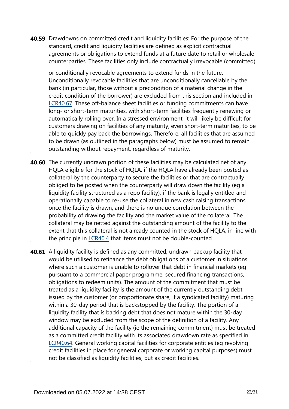**40.59** Drawdowns on committed credit and liquidity facilities: For the purpose of the standard, credit and liquidity facilities are defined as explicit contractual agreements or obligations to extend funds at a future date to retail or wholesale counterparties. These facilities only include contractually irrevocable (committed)

or conditionally revocable agreements to extend funds in the future. Unconditionally revocable facilities that are unconditionally cancellable by the bank (in particular, those without a precondition of a material change in the credit condition of the borrower) are excluded from this section and included in [LCR40.67.](https://www.bis.org/basel_framework/chapter/LCR/40.htm?tldate=20281012&inforce=20191215&published=20191215#paragraph_LCR_40_20191215_40_67) These off-balance sheet facilities or funding commitments can have long- or short-term maturities, with short-term facilities frequently renewing or automatically rolling over. In a stressed environment, it will likely be difficult for customers drawing on facilities of any maturity, even short-term maturities, to be able to quickly pay back the borrowings. Therefore, all facilities that are assumed to be drawn (as outlined in the paragraphs below) must be assumed to remain outstanding without repayment, regardless of maturity.

- **40.60** The currently undrawn portion of these facilities may be calculated net of any HQLA eligible for the stock of HQLA, if the HQLA have already been posted as collateral by the counterparty to secure the facilities or that are contractually obliged to be posted when the counterparty will draw down the facility (eg a liquidity facility structured as a repo facility), if the bank is legally entitled and operationally capable to re-use the collateral in new cash raising transactions once the facility is drawn, and there is no undue correlation between the probability of drawing the facility and the market value of the collateral. The collateral may be netted against the outstanding amount of the facility to the extent that this collateral is not already counted in the stock of HQLA, in line with the principle in [LCR40.4](https://www.bis.org/basel_framework/chapter/LCR/40.htm?tldate=20281012&inforce=20191215&published=20191215#paragraph_LCR_40_20191215_40_4) that items must not be double-counted.
- **40.61** A liquidity facility is defined as any committed, undrawn backup facility that would be utilised to refinance the debt obligations of a customer in situations where such a customer is unable to rollover that debt in financial markets (eg pursuant to a commercial paper programme, secured financing transactions, obligations to redeem units). The amount of the commitment that must be treated as a liquidity facility is the amount of the currently outstanding debt issued by the customer (or proportionate share, if a syndicated facility) maturing within a 30-day period that is backstopped by the facility. The portion of a liquidity facility that is backing debt that does not mature within the 30-day window may be excluded from the scope of the definition of a facility. Any additional capacity of the facility (ie the remaining commitment) must be treated as a committed credit facility with its associated drawdown rate as specified in [LCR40.64.](https://www.bis.org/basel_framework/chapter/LCR/40.htm?tldate=20281012&inforce=20191215&published=20191215#paragraph_LCR_40_20191215_40_64) General working capital facilities for corporate entities (eg revolving credit facilities in place for general corporate or working capital purposes) must not be classified as liquidity facilities, but as credit facilities.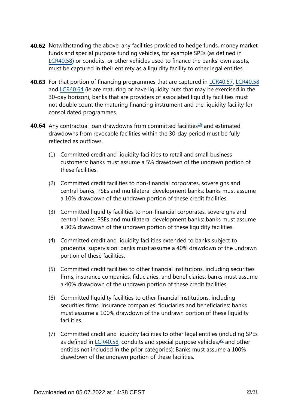- **40.62** Notwithstanding the above, any facilities provided to hedge funds, money market funds and special purpose funding vehicles, for example SPEs (as defined in [LCR40.58\)](https://www.bis.org/basel_framework/chapter/LCR/40.htm?tldate=20281012&inforce=20191215&published=20191215#paragraph_LCR_40_20191215_40_58) or conduits, or other vehicles used to finance the banks' own assets, must be captured in their entirety as a liquidity facility to other legal entities.
- **40.63** For that portion of financing programmes that are captured in [LCR40.57,](https://www.bis.org/basel_framework/chapter/LCR/40.htm?tldate=20281012&inforce=20191215&published=20191215#paragraph_LCR_40_20191215_40_57) [LCR40.58](https://www.bis.org/basel_framework/chapter/LCR/40.htm?tldate=20281012&inforce=20191215&published=20191215#paragraph_LCR_40_20191215_40_58) and [LCR40.64](https://www.bis.org/basel_framework/chapter/LCR/40.htm?tldate=20281012&inforce=20191215&published=20191215#paragraph_LCR_40_20191215_40_64) (ie are maturing or have liquidity puts that may be exercised in the 30-day horizon), banks that are providers of associated liquidity facilities must not double count the maturing financing instrument and the liquidity facility for consolidated programmes.
- <span id="page-22-1"></span><span id="page-22-0"></span>**40.64** Any contractual loan drawdowns from committed facilities<sup>[19](#page-23-0)</sup> and estimated drawdowns from revocable facilities within the 30-day period must be fully reflected as outflows.
	- (1) Committed credit and liquidity facilities to retail and small business customers: banks must assume a 5% drawdown of the undrawn portion of these facilities.
	- (2) Committed credit facilities to non-financial corporates, sovereigns and central banks, PSEs and multilateral development banks: banks must assume a 10% drawdown of the undrawn portion of these credit facilities.
	- (3) Committed liquidity facilities to non-financial corporates, sovereigns and central banks, PSEs and multilateral development banks: banks must assume a 30% drawdown of the undrawn portion of these liquidity facilities.
	- (4) Committed credit and liquidity facilities extended to banks subject to prudential supervision: banks must assume a 40% drawdown of the undrawn portion of these facilities.
	- (5) Committed credit facilities to other financial institutions, including securities firms, insurance companies, fiduciaries, and beneficiaries: banks must assume a 40% drawdown of the undrawn portion of these credit facilities.
	- (6) Committed liquidity facilities to other financial institutions, including securities firms, insurance companies' fiduciaries and beneficiaries: banks must assume a 100% drawdown of the undrawn portion of these liquidity facilities.
	- (7) Committed credit and liquidity facilities to other legal entities (including SPEs as defined in [LCR40.58](https://www.bis.org/basel_framework/chapter/LCR/40.htm?tldate=20281012&inforce=20191215&published=20191215#paragraph_LCR_40_20191215_40_58), conduits and special purpose vehicles, $20$  and other entities not included in the prior categories): Banks must assume a 100% drawdown of the undrawn portion of these facilities.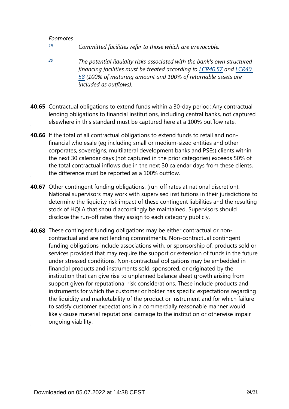- <span id="page-23-0"></span>*Committed facilities refer to those which are irrevocable. [19](#page-22-0)*
- <span id="page-23-1"></span>*The potential liquidity risks associated with the bank's own structured financing facilities must be treated according to [LCR40.57](https://www.bis.org/basel_framework/chapter/LCR/40.htm?tldate=20281012&inforce=20191215&published=20191215#paragraph_LCR_40_20191215_40_57) and [LCR40.](https://www.bis.org/basel_framework/chapter/LCR/40.htm?tldate=20281012&inforce=20191215&published=20191215#paragraph_LCR_40_20191215_40_58) [58](https://www.bis.org/basel_framework/chapter/LCR/40.htm?tldate=20281012&inforce=20191215&published=20191215#paragraph_LCR_40_20191215_40_58) (100% of maturing amount and 100% of returnable assets are included as outflows). [20](#page-22-1)*
- **40.65** Contractual obligations to extend funds within a 30-day period: Any contractual lending obligations to financial institutions, including central banks, not captured elsewhere in this standard must be captured here at a 100% outflow rate.
- **40.66** If the total of all contractual obligations to extend funds to retail and nonfinancial wholesale (eg including small or medium-sized entities and other corporates, sovereigns, multilateral development banks and PSEs) clients within the next 30 calendar days (not captured in the prior categories) exceeds 50% of the total contractual inflows due in the next 30 calendar days from these clients, the difference must be reported as a 100% outflow.
- **40.67** Other contingent funding obligations: (run-off rates at national discretion). National supervisors may work with supervised institutions in their jurisdictions to determine the liquidity risk impact of these contingent liabilities and the resulting stock of HQLA that should accordingly be maintained. Supervisors should disclose the run-off rates they assign to each category publicly.
- **40.68** These contingent funding obligations may be either contractual or noncontractual and are not lending commitments. Non-contractual contingent funding obligations include associations with, or sponsorship of, products sold or services provided that may require the support or extension of funds in the future under stressed conditions. Non-contractual obligations may be embedded in financial products and instruments sold, sponsored, or originated by the institution that can give rise to unplanned balance sheet growth arising from support given for reputational risk considerations. These include products and instruments for which the customer or holder has specific expectations regarding the liquidity and marketability of the product or instrument and for which failure to satisfy customer expectations in a commercially reasonable manner would likely cause material reputational damage to the institution or otherwise impair ongoing viability.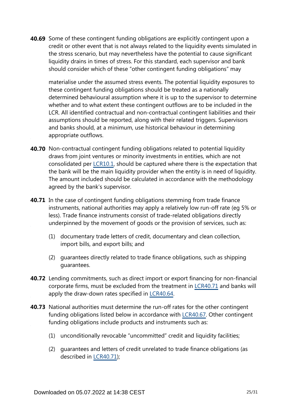**40.69** Some of these contingent funding obligations are explicitly contingent upon a credit or other event that is not always related to the liquidity events simulated in the stress scenario, but may nevertheless have the potential to cause significant liquidity drains in times of stress. For this standard, each supervisor and bank should consider which of these "other contingent funding obligations" may

materialise under the assumed stress events. The potential liquidity exposures to these contingent funding obligations should be treated as a nationally determined behavioural assumption where it is up to the supervisor to determine whether and to what extent these contingent outflows are to be included in the LCR. All identified contractual and non-contractual contingent liabilities and their assumptions should be reported, along with their related triggers. Supervisors and banks should, at a minimum, use historical behaviour in determining appropriate outflows.

- **40.70** Non-contractual contingent funding obligations related to potential liquidity draws from joint ventures or minority investments in entities, which are not consolidated per [LCR10.1](https://www.bis.org/basel_framework/chapter/LCR/10.htm?tldate=20281012&inforce=20191215&published=20191215#paragraph_LCR_10_20191215_10_1), should be captured where there is the expectation that the bank will be the main liquidity provider when the entity is in need of liquidity. The amount included should be calculated in accordance with the methodology agreed by the bank's supervisor.
- **40.71** In the case of contingent funding obligations stemming from trade finance instruments, national authorities may apply a relatively low run-off rate (eg 5% or less). Trade finance instruments consist of trade-related obligations directly underpinned by the movement of goods or the provision of services, such as:
	- (1) documentary trade letters of credit, documentary and clean collection, import bills, and export bills; and
	- (2) guarantees directly related to trade finance obligations, such as shipping guarantees.
- **40.72** Lending commitments, such as direct import or export financing for non-financial corporate firms, must be excluded from the treatment in [LCR40.71](https://www.bis.org/basel_framework/chapter/LCR/40.htm?tldate=20281012&inforce=20191215&published=20191215#paragraph_LCR_40_20191215_40_71) and banks will apply the draw-down rates specified in [LCR40.64](https://www.bis.org/basel_framework/chapter/LCR/40.htm?tldate=20281012&inforce=20191215&published=20191215#paragraph_LCR_40_20191215_40_64).
- **40.73** National authorities must determine the run-off rates for the other contingent funding obligations listed below in accordance with [LCR40.67](https://www.bis.org/basel_framework/chapter/LCR/40.htm?tldate=20281012&inforce=20191215&published=20191215#paragraph_LCR_40_20191215_40_67). Other contingent funding obligations include products and instruments such as:
	- (1) unconditionally revocable "uncommitted" credit and liquidity facilities;
	- (2) guarantees and letters of credit unrelated to trade finance obligations (as described in [LCR40.71](https://www.bis.org/basel_framework/chapter/LCR/40.htm?tldate=20281012&inforce=20191215&published=20191215#paragraph_LCR_40_20191215_40_71));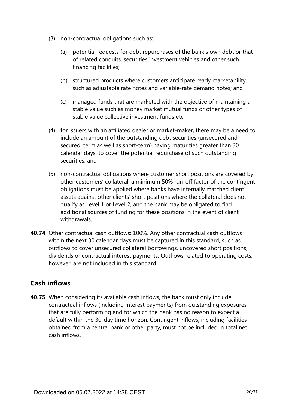- (3) non-contractual obligations such as:
	- (a) potential requests for debt repurchases of the bank's own debt or that of related conduits, securities investment vehicles and other such financing facilities;
	- (b) structured products where customers anticipate ready marketability, such as adjustable rate notes and variable-rate demand notes; and
	- (c) managed funds that are marketed with the objective of maintaining a stable value such as money market mutual funds or other types of stable value collective investment funds etc;
- (4) for issuers with an affiliated dealer or market-maker, there may be a need to include an amount of the outstanding debt securities (unsecured and secured, term as well as short-term) having maturities greater than 30 calendar days, to cover the potential repurchase of such outstanding securities; and
- (5) non-contractual obligations where customer short positions are covered by other customers' collateral: a minimum 50% run-off factor of the contingent obligations must be applied where banks have internally matched client assets against other clients' short positions where the collateral does not qualify as Level 1 or Level 2, and the bank may be obligated to find additional sources of funding for these positions in the event of client withdrawals.
- **40.74** Other contractual cash outflows: 100%. Any other contractual cash outflows within the next 30 calendar days must be captured in this standard, such as outflows to cover unsecured collateral borrowings, uncovered short positions, dividends or contractual interest payments. Outflows related to operating costs, however, are not included in this standard.

# **Cash inflows**

**40.75** When considering its available cash inflows, the bank must only include contractual inflows (including interest payments) from outstanding exposures that are fully performing and for which the bank has no reason to expect a default within the 30-day time horizon. Contingent inflows, including facilities obtained from a central bank or other party, must not be included in total net cash inflows.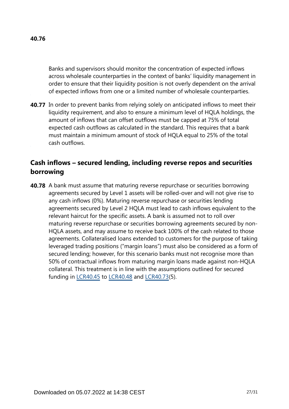Banks and supervisors should monitor the concentration of expected inflows across wholesale counterparties in the context of banks' liquidity management in order to ensure that their liquidity position is not overly dependent on the arrival of expected inflows from one or a limited number of wholesale counterparties.

**40.77** In order to prevent banks from relying solely on anticipated inflows to meet their liquidity requirement, and also to ensure a minimum level of HQLA holdings, the amount of inflows that can offset outflows must be capped at 75% of total expected cash outflows as calculated in the standard. This requires that a bank must maintain a minimum amount of stock of HQLA equal to 25% of the total cash outflows.

### **Cash inflows – secured lending, including reverse repos and securities borrowing**

**40.78** A bank must assume that maturing reverse repurchase or securities borrowing agreements secured by Level 1 assets will be rolled-over and will not give rise to any cash inflows (0%). Maturing reverse repurchase or securities lending agreements secured by Level 2 HQLA must lead to cash inflows equivalent to the relevant haircut for the specific assets. A bank is assumed not to roll over maturing reverse repurchase or securities borrowing agreements secured by non-HQLA assets, and may assume to receive back 100% of the cash related to those agreements. Collateralised loans extended to customers for the purpose of taking leveraged trading positions ("margin loans") must also be considered as a form of secured lending; however, for this scenario banks must not recognise more than 50% of contractual inflows from maturing margin loans made against non-HQLA collateral. This treatment is in line with the assumptions outlined for secured funding in [LCR40.45](https://www.bis.org/basel_framework/chapter/LCR/40.htm?tldate=20281012&inforce=20191215&published=20191215#paragraph_LCR_40_20191215_40_45) to [LCR40.48](https://www.bis.org/basel_framework/chapter/LCR/40.htm?tldate=20281012&inforce=20191215&published=20191215#paragraph_LCR_40_20191215_40_48) and [LCR40.73\(](https://www.bis.org/basel_framework/chapter/LCR/40.htm?tldate=20281012&inforce=20191215&published=20191215#paragraph_LCR_40_20191215_40_73)5).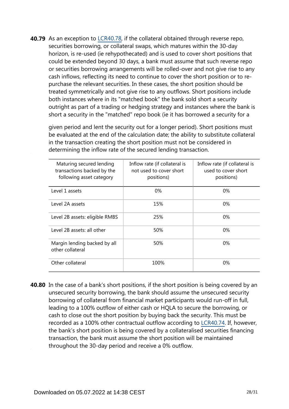**40.79** As an exception to [LCR40.78](https://www.bis.org/basel_framework/chapter/LCR/40.htm?tldate=20281012&inforce=20191215&published=20191215#paragraph_LCR_40_20191215_40_78), if the collateral obtained through reverse repo, securities borrowing, or collateral swaps, which matures within the 30-day horizon, is re-used (ie rehypothecated) and is used to cover short positions that could be extended beyond 30 days, a bank must assume that such reverse repo or securities borrowing arrangements will be rolled-over and not give rise to any cash inflows, reflecting its need to continue to cover the short position or to repurchase the relevant securities. In these cases, the short position should be treated symmetrically and not give rise to any outflows. Short positions include both instances where in its "matched book" the bank sold short a security outright as part of a trading or hedging strategy and instances where the bank is short a security in the "matched" repo book (ie it has borrowed a security for a

given period and lent the security out for a longer period). Short positions must be evaluated at the end of the calculation date; the ability to substitute collateral in the transaction creating the short position must not be considered in determining the inflow rate of the secured lending transaction.

| Maturing secured lending<br>transactions backed by the<br>following asset category | Inflow rate (if collateral is<br>not used to cover short<br>positions) | Inflow rate (if collateral is<br>used to cover short<br>positions) |
|------------------------------------------------------------------------------------|------------------------------------------------------------------------|--------------------------------------------------------------------|
| Level 1 assets                                                                     | 0%                                                                     | $0\%$                                                              |
| Level 2A assets                                                                    | 15%                                                                    | $0\%$                                                              |
| Level 2B assets: eligible RMBS                                                     | 25%                                                                    | $0\%$                                                              |
| Level 2B assets: all other                                                         | 50%                                                                    | $0\%$                                                              |
| Margin lending backed by all<br>other collateral                                   | 50%                                                                    | 0%                                                                 |
| Other collateral                                                                   | 100%                                                                   | $0\%$                                                              |

**40.80** In the case of a bank's short positions, if the short position is being covered by an unsecured security borrowing, the bank should assume the unsecured security borrowing of collateral from financial market participants would run-off in full, leading to a 100% outflow of either cash or HQLA to secure the borrowing, or cash to close out the short position by buying back the security. This must be recorded as a 100% other contractual outflow according to [LCR40.74](https://www.bis.org/basel_framework/chapter/LCR/40.htm?tldate=20281012&inforce=20191215&published=20191215#paragraph_LCR_40_20191215_40_74). If, however, the bank's short position is being covered by a collateralised securities financing transaction, the bank must assume the short position will be maintained throughout the 30-day period and receive a 0% outflow.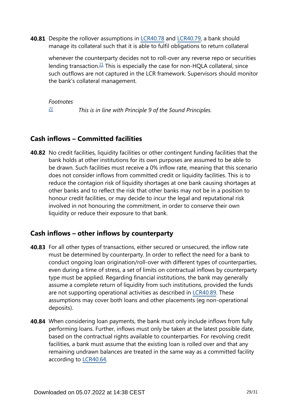<span id="page-28-1"></span>**40.81** Despite the rollover assumptions in [LCR40.78](https://www.bis.org/basel_framework/chapter/LCR/40.htm?tldate=20281012&inforce=20191215&published=20191215#paragraph_LCR_40_20191215_40_78) and [LCR40.79,](https://www.bis.org/basel_framework/chapter/LCR/40.htm?tldate=20281012&inforce=20191215&published=20191215#paragraph_LCR_40_20191215_40_79) a bank should manage its collateral such that it is able to fulfil obligations to return collateral

whenever the counterparty decides not to roll-over any reverse repo or securities lending transaction.<sup>[21](#page-28-0)</sup> This is especially the case for non-HQLA collateral, since such outflows are not captured in the LCR framework. Supervisors should monitor the bank's collateral management.

#### *Footnotes*

*This is in line with Principle 9 of the Sound Principles. [21](#page-28-1)*

### <span id="page-28-0"></span>**Cash inflows – Committed facilities**

**40.82** No credit facilities, liquidity facilities or other contingent funding facilities that the bank holds at other institutions for its own purposes are assumed to be able to be drawn. Such facilities must receive a 0% inflow rate, meaning that this scenario does not consider inflows from committed credit or liquidity facilities. This is to reduce the contagion risk of liquidity shortages at one bank causing shortages at other banks and to reflect the risk that other banks may not be in a position to honour credit facilities, or may decide to incur the legal and reputational risk involved in not honouring the commitment, in order to conserve their own liquidity or reduce their exposure to that bank.

### **Cash inflows – other inflows by counterparty**

- **40.83** For all other types of transactions, either secured or unsecured, the inflow rate must be determined by counterparty. In order to reflect the need for a bank to conduct ongoing loan origination/roll-over with different types of counterparties, even during a time of stress, a set of limits on contractual inflows by counterparty type must be applied. Regarding financial institutions, the bank may generally assume a complete return of liquidity from such institutions, provided the funds are not supporting operational activities as described in [LCR40.89.](https://www.bis.org/basel_framework/chapter/LCR/40.htm?tldate=20281012&inforce=20191215&published=20191215#paragraph_LCR_40_20191215_40_89) These assumptions may cover both loans and other placements (eg non-operational deposits).
- **40.84** When considering loan payments, the bank must only include inflows from fully performing loans. Further, inflows must only be taken at the latest possible date, based on the contractual rights available to counterparties. For revolving credit facilities, a bank must assume that the existing loan is rolled over and that any remaining undrawn balances are treated in the same way as a committed facility according to [LCR40.64.](https://www.bis.org/basel_framework/chapter/LCR/40.htm?tldate=20281012&inforce=20191215&published=20191215#paragraph_LCR_40_20191215_40_64)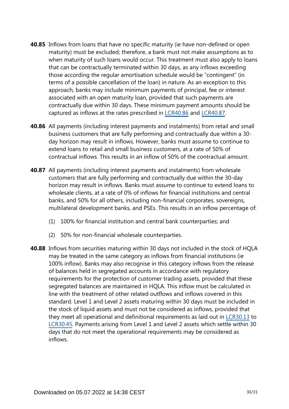- **40.85** Inflows from loans that have no specific maturity (ie have non-defined or open maturity) must be excluded; therefore, a bank must not make assumptions as to when maturity of such loans would occur. This treatment must also apply to loans that can be contractually terminated within 30 days, as any inflows exceeding those according the regular amortisation schedule would be "contingent" (in terms of a possible cancellation of the loan) in nature. As an exception to this approach, banks may include minimum payments of principal, fee or interest associated with an open maturity loan, provided that such payments are contractually due within 30 days. These minimum payment amounts should be captured as inflows at the rates prescribed in [LCR40.86](https://www.bis.org/basel_framework/chapter/LCR/40.htm?tldate=20281012&inforce=20191215&published=20191215#paragraph_LCR_40_20191215_40_86) and [LCR40.87.](https://www.bis.org/basel_framework/chapter/LCR/40.htm?tldate=20281012&inforce=20191215&published=20191215#paragraph_LCR_40_20191215_40_87)
- **40.86** All payments (including interest payments and instalments) from retail and small business customers that are fully performing and contractually due within a 30 day horizon may result in inflows. However, banks must assume to continue to extend loans to retail and small business customers, at a rate of 50% of contractual inflows. This results in an inflow of 50% of the contractual amount.
- **40.87** All payments (including interest payments and instalments) from wholesale customers that are fully performing and contractually due within the 30-day horizon may result in inflows. Banks must assume to continue to extend loans to wholesale clients, at a rate of 0% of inflows for financial institutions and central banks, and 50% for all others, including non-financial corporates, sovereigns, multilateral development banks, and PSEs. This results in an inflow percentage of:
	- (1) 100% for financial institution and central bank counterparties; and
	- (2) 50% for non-financial wholesale counterparties.
- **40.88** Inflows from securities maturing within 30 days not included in the stock of HQLA may be treated in the same category as inflows from financial institutions (ie 100% inflow). Banks may also recognise in this category inflows from the release of balances held in segregated accounts in accordance with regulatory requirements for the protection of customer trading assets, provided that these segregated balances are maintained in HQLA. This inflow must be calculated in line with the treatment of other related outflows and inflows covered in this standard. Level 1 and Level 2 assets maturing within 30 days must be included in the stock of liquid assets and must not be considered as inflows, provided that they meet all operational and definitional requirements as laid out in [LCR30.13](https://www.bis.org/basel_framework/chapter/LCR/30.htm?tldate=20281012&inforce=20191215&published=20200605#paragraph_LCR_30_20191215_30_13) to [LCR30.45.](https://www.bis.org/basel_framework/chapter/LCR/30.htm?tldate=20281012&inforce=20191215&published=20200605#paragraph_LCR_30_20191215_30_45) Payments arising from Level 1 and Level 2 assets which settle within 30 days that do not meet the operational requirements may be considered as inflows.